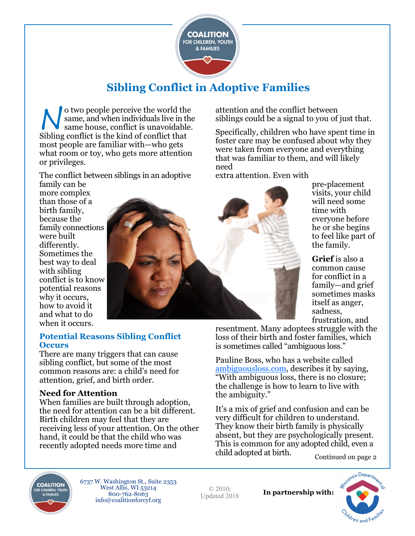

# **Sibling Conflict in Adoptive Families**

N o two people perceive the world the same, and when individuals live in the same house, conflict is unavoidable. Sibling conflict is the kind of conflict that most people are familiar with—who gets what room or toy, who gets more attention or privileges.

The conflict between siblings in an adoptive

family can be more complex than those of a birth family, because the family connections were built differently. Sometimes the best way to deal with sibling conflict is to know potential reasons why it occurs,

how to avoid it and what to do when it occurs.



attention and the conflict between siblings could be a signal to you of just that.

Specifically, children who have spent time in foster care may be confused about why they were taken from everyone and everything that was familiar to them, and will likely need

extra attention. Even with

pre-placement visits, your child will need some time with everyone before he or she begins to feel like part of the family.

**Grief** is also a common cause for conflict in a family—and grief sometimes masks itself as anger, sadness, frustration, and

#### **Potential Reasons Sibling Conflict Occurs**

There are many triggers that can cause sibling conflict, but some of the most common reasons are: a child's need for attention, grief, and birth order.

#### **Need for Attention**

When families are built through adoption, the need for attention can be a bit different. Birth children may feel that they are receiving less of your attention. On the other hand, it could be that the child who was recently adopted needs more time and

resentment. Many adoptees struggle with the loss of their birth and foster families, which is sometimes called "ambiguous loss."

Pauline Boss, who has a website called [ambiguousloss.com,](http://ambiguousloss.com) describes it by saying, "With ambiguous loss, there is no closure; the challenge is how to learn to live with the ambiguity."

It's a mix of grief and confusion and can be very difficult for children to understand. They know their birth family is physically absent, but they are psychologically present. This is common for any adopted child, even a child adopted at birth. Continued on page 2



6737 W. Washington St., Suite 2353 West Allis, WI 53214 800-762-8063 info@coalitionforcyf.org

© 2010; Updated 2018

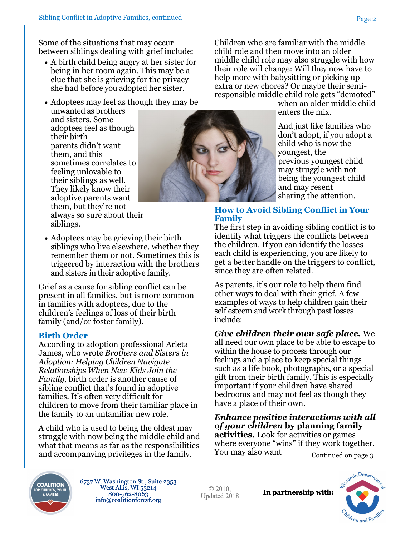Some of the situations that may occur between siblings dealing with grief include:

- A birth child being angry at her sister for being in her room again. This may be a clue that she is grieving for the privacy she had before you adopted her sister.
- Adoptees may feel as though they may be unwanted as brothers and sisters. Some adoptees feel as though their birth parents didn't want them, and this sometimes correlates to feeling unlovable to their siblings as well. They likely know their adoptive parents want them, but they're not always so sure about their siblings.
- Adoptees may be grieving their birth siblings who live elsewhere, whether they remember them or not. Sometimes this is triggered by interaction with the brothers and sisters in their adoptive family.

Grief as a cause for sibling conflict can be present in all families, but is more common in families with adoptees, due to the children's feelings of loss of their birth family (and/or foster family).

#### **Birth Order**

According to adoption professional Arleta James, who wrote *Brothers and Sisters in Adoption: Helping Children Navigate Relationships When New Kids Join the Family,* birth order is another cause of sibling conflict that's found in adoptive families. It's often very difficult for children to move from their familiar place in the family to an unfamiliar new role.

A child who is used to being the oldest may struggle with now being the middle child and what that means as far as the responsibilities and accompanying privileges in the family.

Children who are familiar with the middle child role and then move into an older middle child role may also struggle with how their role will change: Will they now have to help more with babysitting or picking up extra or new chores? Or maybe their semiresponsible middle child role gets "demoted"

when an older middle child enters the mix.

And just like families who don't adopt, if you adopt a child who is now the youngest, the previous youngest child may struggle with not being the youngest child and may resent sharing the attention.

#### **How to Avoid Sibling Conflict in Your Family**

The first step in avoiding sibling conflict is to identify what triggers the conflicts between the children. If you can identify the losses each child is experiencing, you are likely to get a better handle on the triggers to conflict, since they are often related.

As parents, it's our role to help them find other ways to deal with their grief. A few examples of ways to help children gain their self esteem and work through past losses include:

*Give children their own safe place.* We all need our own place to be able to escape to within the house to process through our feelings and a place to keep special things such as a life book, photographs, or a special gift from their birth family. This is especially important if your children have shared bedrooms and may not feel as though they have a place of their own.

*Enhance positive interactions with all of your children* **by planning family activities.** Look for activities or games where everyone "wins" if they work together. You may also want Continued on page 3



6737 W. Washington St., Suite 2353 West Allis, WI 53214 800-762-8063 info@coalitionforcyf.org

© 2010; Updated 2018





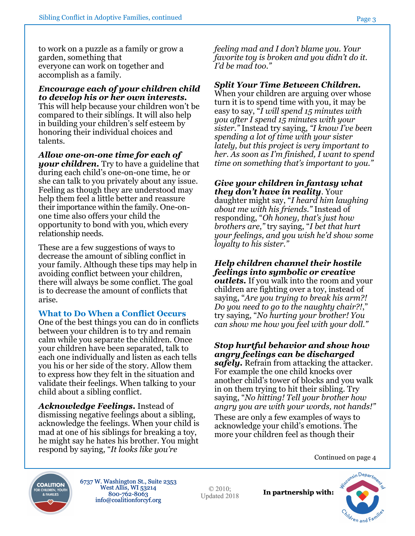to work on a puzzle as a family or grow a garden, something that everyone can work on together and accomplish as a family.

*Encourage each of your children child to develop his or her own interests.*  This will help because your children won't be compared to their siblings. It will also help in building your children's self esteem by honoring their individual choices and talents.

*Allow one-on-one time for each of your children.* Try to have a guideline that during each child's one-on-one time, he or she can talk to you privately about any issue. Feeling as though they are understood may help them feel a little better and reassure their importance within the family. One-onone time also offers your child the opportunity to bond with you, which every relationship needs.

These are a few suggestions of ways to decrease the amount of sibling conflict in your family. Although these tips may help in avoiding conflict between your children, there will always be some conflict. The goal is to decrease the amount of conflicts that arise.

#### **What to Do When a Conflict Occurs**

One of the best things you can do in conflicts between your children is to try and remain calm while you separate the children. Once your children have been separated, talk to each one individually and listen as each tells you his or her side of the story. Allow them to express how they felt in the situation and validate their feelings. When talking to your child about a sibling conflict.

*Acknowledge Feelings.* Instead of dismissing negative feelings about a sibling, acknowledge the feelings. When your child is mad at one of his siblings for breaking a toy, he might say he hates his brother. You might respond by saying, "*It looks like you're* 

*feeling mad and I don't blame you. Your favorite toy is broken and you didn't do it. I'd be mad too."*

#### *Split Your Time Between Children.*

When your children are arguing over whose turn it is to spend time with you, it may be easy to say, "*I will spend 15 minutes with you after I spend 15 minutes with your sister."* Instead try saying, *"I know I've been spending a lot of time with your sister lately, but this project is very important to her. As soon as I'm finished, I want to spend time on something that's important to you."*

#### *Give your children in fantasy what they don't have in reality*. Your

daughter might say, "*I heard him laughing about me with his friends."* Instead of responding, "*Oh honey, that's just how brothers are,"* try saying, "*I bet that hurt your feelings, and you wish he'd show some loyalty to his sister."*

# *Help children channel their hostile feelings into symbolic or creative*

*outlets.* If you walk into the room and your children are fighting over a toy, instead of saying, "*Are you trying to break his arm?! Do you need to go to the naughty chair?!*," try saying, "*No hurting your brother! You can show me how you feel with your doll."*

### *Stop hurtful behavior and show how angry feelings can be discharged*

*safely.* Refrain from attacking the attacker. For example the one child knocks over another child's tower of blocks and you walk in on them trying to hit their sibling. Try saying, "*No hitting! Tell your brother how angry you are with your words, not hands!"*

These are only a few examples of ways to acknowledge your child's emotions. The more your children feel as though their

Continued on page 4



6737 W. Washington St., Suite 2353 West Allis, WI 53214 800-762-8063 info@coalitionforcyf.org

© 2010; Updated 2018